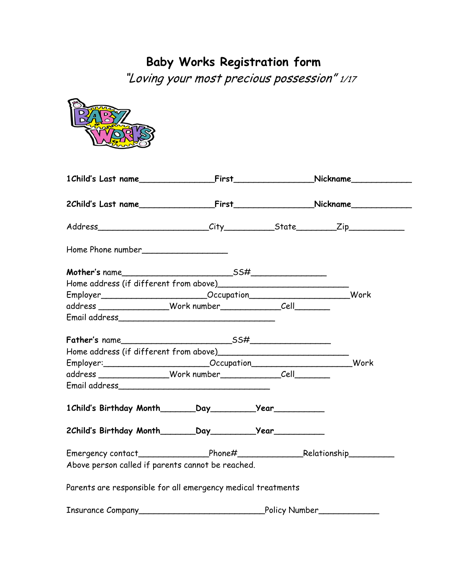## **Baby Works Registration form**

"Loving your most precious possession" 1/17

| Employer__________________________Occupation____________________________Work                                                                                                                                                     |  |  |
|----------------------------------------------------------------------------------------------------------------------------------------------------------------------------------------------------------------------------------|--|--|
|                                                                                                                                                                                                                                  |  |  |
|                                                                                                                                                                                                                                  |  |  |
|                                                                                                                                                                                                                                  |  |  |
| Home address (if different from above)<br>and the manuscription and the manuscription of the different manuscription and the manuscription of the different manuscription and the different manuscription of the different manus |  |  |
| Employer:__________________________Occupation____________________________Work                                                                                                                                                    |  |  |
|                                                                                                                                                                                                                                  |  |  |
| Email address et al. 2010 and 2010 and 2010 and 2010 and 2010 and 2010 and 2010 and 2010 and 2010 and 2010 and                                                                                                                   |  |  |
|                                                                                                                                                                                                                                  |  |  |
|                                                                                                                                                                                                                                  |  |  |
|                                                                                                                                                                                                                                  |  |  |
| Above person called if parents cannot be reached.                                                                                                                                                                                |  |  |
| Parents are responsible for all emergency medical treatments                                                                                                                                                                     |  |  |
|                                                                                                                                                                                                                                  |  |  |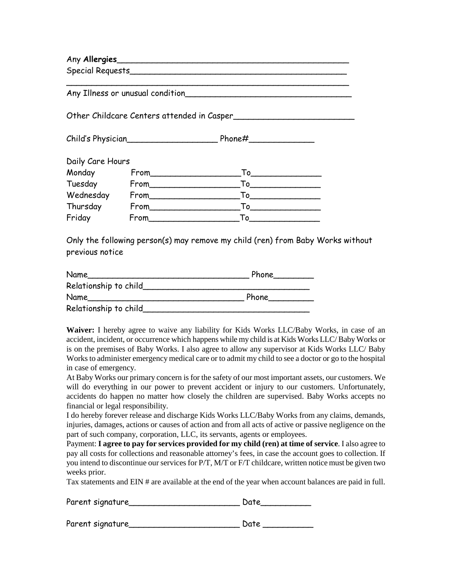Any **Allergies**\_\_\_\_\_\_\_\_\_\_\_\_\_\_\_\_\_\_\_\_\_\_\_\_\_\_\_\_\_\_\_\_\_\_\_\_\_\_\_\_\_\_\_\_\_\_

Special Requests\_\_\_\_\_\_\_\_\_\_\_\_\_\_\_\_\_\_\_\_\_\_\_\_\_\_\_\_\_\_\_\_\_\_\_\_\_\_\_\_\_\_\_

Any Illness or unusual condition

Other Childcare Centers attended in Casper\_\_\_\_\_\_\_\_\_\_\_\_\_\_\_\_\_\_\_\_\_\_\_\_

Child's Physician\_\_\_\_\_\_\_\_\_\_\_\_\_\_\_\_\_\_ Phone#\_\_\_\_\_\_\_\_\_\_\_\_\_

| Daily Care Hours |       |    |  |
|------------------|-------|----|--|
| Monday           |       | Т٥ |  |
| Tuesday          | From  | Т٥ |  |
| Wednesday        |       | Т٥ |  |
| Thursday         | From  | Т٥ |  |
| Friday           | From_ | Т٥ |  |

Only the following person(s) may remove my child (ren) from Baby Works without previous notice

| Name                  | Phone |
|-----------------------|-------|
| Relationship to child |       |
| Name                  | Phone |
| Relationship to child |       |

**Waiver:** I hereby agree to waive any liability for Kids Works LLC/Baby Works, in case of an accident, incident, or occurrence which happens while my child is at Kids Works LLC/ BabyWorks or is on the premises of Baby Works. I also agree to allow any supervisor at Kids Works LLC/ Baby Works to administer emergency medical care or to admit my child to see a doctor or go to the hospital in case of emergency.

At Baby Works our primary concern is for the safety of our most important assets, our customers. We will do everything in our power to prevent accident or injury to our customers. Unfortunately, accidents do happen no matter how closely the children are supervised. Baby Works accepts no financial or legal responsibility.

I do hereby forever release and discharge Kids Works LLC/Baby Works from any claims, demands, injuries, damages, actions or causes of action and from all acts of active or passive negligence on the part of such company, corporation, LLC, its servants, agents or employees.

Payment: **I agree to pay for services provided for my child (ren) at time of service**. I also agree to pay all costs for collections and reasonable attorney's fees, in case the account goes to collection. If you intend to discontinue our services for P/T, M/T or F/T childcare, written notice must be given two weeks prior.

Tax statements and EIN # are available at the end of the year when account balances are paid in full.

| Parent signature | Date |
|------------------|------|
|                  |      |

| Parent signature |  |
|------------------|--|
|------------------|--|